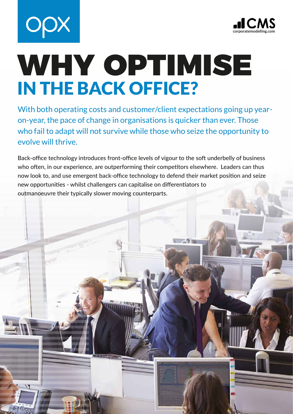



# WHY OPTIMISE IN THE BACK OFFICE?

With both operating costs and customer/client expectations going up yearon-year, the pace of change in organisations is quicker than ever. Those who fail to adapt will not survive while those who seize the opportunity to evolve will thrive.

Back-office technology introduces front-office levels of vigour to the soft underbelly of business who often, in our experience, are outperforming their competitors elsewhere. Leaders can thus now look to, and use emergent back-office technology to defend their market position and seize new opportunities - whilst challengers can capitalise on differentiators to outmanoeuvre their typically slower moving counterparts.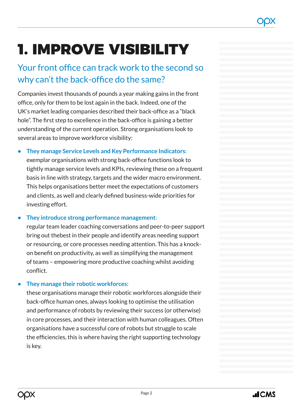## 1. IMPROVE VISIBILITY

## Your front office can track work to the second so why can't the back-office do the same?

Companies invest thousands of pounds a year making gains in the front office, only for them to be lost again in the back. Indeed, one of the UK's market leading companies described their back-office as a "black hole". The first step to excellence in the back-office is gaining a better understanding of the current operation. Strong organisations look to several areas to improve workforce visibility:

### **• They manage Service Levels and Key Performance Indicators**:

exemplar organisations with strong back-office functions look to tightly manage service levels and KPIs, reviewing these on a frequent basis in line with strategy, targets and the wider macro environment. This helps organisations better meet the expectations of customers and clients, as well and clearly defined business-wide priorities for investing effort.

### **• They introduce strong performance management**:

regular team leader coaching conversations and peer-to-peer support bring out thebest in their people and identify areas needing support or resourcing, or core processes needing attention. This has a knockon benefit on productivity, as well as simplifying the management of teams – empowering more productive coaching whilst avoiding conflict.

### **• They manage their robotic workforces:**

these organisations manage their robotic workforces alongside their back-office human ones, always looking to optimise the utilisation and performance of robots by reviewing their success (or otherwise) in core processes, and their interaction with human colleagues. Often organisations have a successful core of robots but struggle to scale the efficiencies, this is where having the right supporting technology is key.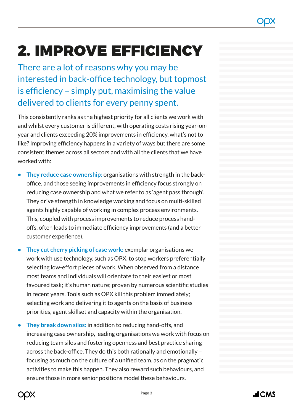## 2. IMPROVE EFFICIENCY

There are a lot of reasons why you may be interested in back-office technology, but topmost is efficiency – simply put, maximising the value delivered to clients for every penny spent.

This consistently ranks as the highest priority for all clients we work with and whilst every customer is different, with operating costs rising year-onyear and clients exceeding 20% improvements in efficiency, what's not to like? Improving efficiency happens in a variety of ways but there are some consistent themes across all sectors and with all the clients that we have worked with:

- **• They reduce case ownership**: organisations with strength in the backoffice, and those seeing improvements in efficiency focus strongly on reducing case ownership and what we refer to as 'agent pass through'. They drive strength in knowledge working and focus on multi-skilled agents highly capable of working in complex process environments. This, coupled with process improvements to reduce process handoffs, often leads to immediate efficiency improvements (and a better customer experience).
- **• They cut cherry picking of case work:** exemplar organisations we work with use technology, such as OPX, to stop workers preferentially selecting low-effort pieces of work. When observed from a distance most teams and individuals will orientate to their easiest or most favoured task; it's human nature; proven by numerous scientific studies in recent years. Tools such as OPX kill this problem immediately; selecting work and delivering it to agents on the basis of business priorities, agent skillset and capacity within the organisation.
- **• They break down silos:** in addition to reducing hand-offs, and increasing case ownership, leading organisations we work with focus on reducing team silos and fostering openness and best practice sharing across the back-office. They do this both rationally and emotionally – focusing as much on the culture of a unified team, as on the pragmatic activities to make this happen. They also reward such behaviours, and ensure those in more senior positions model these behaviours.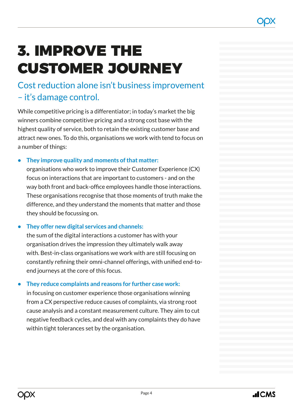## 3. IMPROVE THE CUSTOMER JOURNEY

## Cost reduction alone isn't business improvement – it's damage control.

While competitive pricing is a differentiator; in today's market the big winners combine competitive pricing and a strong cost base with the highest quality of service, both to retain the existing customer base and attract new ones. To do this, organisations we work with tend to focus on a number of things:

### **• They improve quality and moments of that matter:**

organisations who work to improve their Customer Experience (CX) focus on interactions that are important to customers - and on the way both front and back-office employees handle those interactions. These organisations recognise that those moments of truth make the difference, and they understand the moments that matter and those they should be focussing on.

### **• They offer new digital services and channels:**

the sum of the digital interactions a customer has with your organisation drives the impression they ultimately walk away with. Best-in-class organisations we work with are still focusing on constantly refining their omni-channel offerings, with unified end-toend journeys at the core of this focus.

### **• They reduce complaints and reasons for further case work:**

in focusing on customer experience those organisations winning from a CX perspective reduce causes of complaints, via strong root cause analysis and a constant measurement culture. They aim to cut negative feedback cycles, and deal with any complaints they do have within tight tolerances set by the organisation.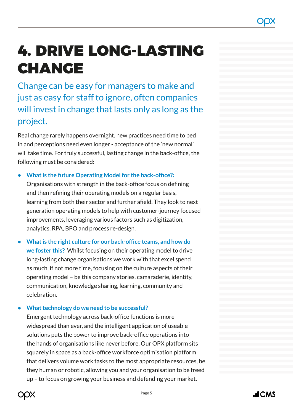## 4. DRIVE LONG-LASTING CHANGE

Change can be easy for managers to make and just as easy for staff to ignore, often companies will invest in change that lasts only as long as the project.

Real change rarely happens overnight, new practices need time to bed in and perceptions need even longer - acceptance of the 'new normal' will take time. For truly successful, lasting change in the back-office, the following must be considered:

**• What is the future Operating Model for the back-office?:** Organisations with strength in the back-office focus on defining and then refining their operating models on a regular basis, learning from both their sector and further afield. They look to next generation operating models to help with customer-journey focused improvements, leveraging various factors such as digitization, analytics, RPA, BPO and process re-design.

**• What is the right culture for our back-office teams, and how do we foster this?** Whilst focusing on their operating model to drive long-lasting change organisations we work with that excel spend as much, if not more time, focusing on the culture aspects of their operating model – be this company stories, camaraderie, identity, communication, knowledge sharing, learning, community and celebration.

**• What technology do we need to be successful?**

Emergent technology across back-office functions is more widespread than ever, and the intelligent application of useable solutions puts the power to improve back-office operations into the hands of organisations like never before. Our OPX platform sits squarely in space as a back-office workforce optimisation platform that delivers volume work tasks to the most appropriate resources, be they human or robotic, allowing you and your organisation to be freed up – to focus on growing your business and defending your market.